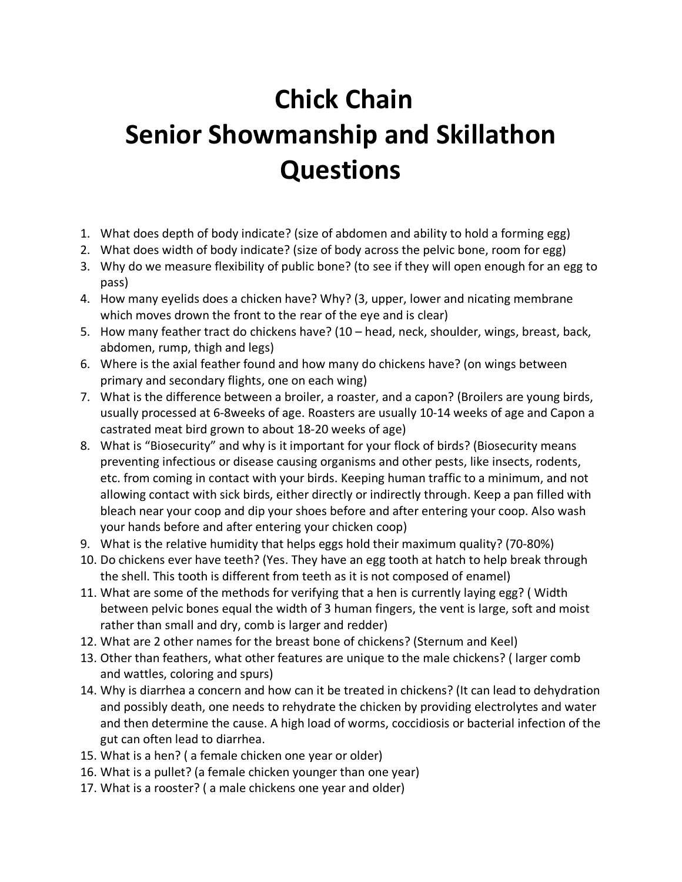## **Chick Chain Senior Showmanship and Skillathon Questions**

- 1. What does depth of body indicate? (size of abdomen and ability to hold a forming egg)
- 2. What does width of body indicate? (size of body across the pelvic bone, room for egg)
- 3. Why do we measure flexibility of public bone? (to see if they will open enough for an egg to pass)
- 4. How many eyelids does a chicken have? Why? (3, upper, lower and nicating membrane which moves drown the front to the rear of the eye and is clear)
- 5. How many feather tract do chickens have? (10 head, neck, shoulder, wings, breast, back, abdomen, rump, thigh and legs)
- 6. Where is the axial feather found and how many do chickens have? (on wings between primary and secondary flights, one on each wing)
- 7. What is the difference between a broiler, a roaster, and a capon? (Broilers are young birds, usually processed at 6-8weeks of age. Roasters are usually 10-14 weeks of age and Capon a castrated meat bird grown to about 18-20 weeks of age)
- 8. What is "Biosecurity" and why is it important for your flock of birds? (Biosecurity means preventing infectious or disease causing organisms and other pests, like insects, rodents, etc. from coming in contact with your birds. Keeping human traffic to a minimum, and not allowing contact with sick birds, either directly or indirectly through. Keep a pan filled with bleach near your coop and dip your shoes before and after entering your coop. Also wash your hands before and after entering your chicken coop)
- 9. What is the relative humidity that helps eggs hold their maximum quality? (70-80%)
- 10. Do chickens ever have teeth? (Yes. They have an egg tooth at hatch to help break through the shell. This tooth is different from teeth as it is not composed of enamel)
- 11. What are some of the methods for verifying that a hen is currently laying egg? ( Width between pelvic bones equal the width of 3 human fingers, the vent is large, soft and moist rather than small and dry, comb is larger and redder)
- 12. What are 2 other names for the breast bone of chickens? (Sternum and Keel)
- 13. Other than feathers, what other features are unique to the male chickens? ( larger comb and wattles, coloring and spurs)
- 14. Why is diarrhea a concern and how can it be treated in chickens? (It can lead to dehydration and possibly death, one needs to rehydrate the chicken by providing electrolytes and water and then determine the cause. A high load of worms, coccidiosis or bacterial infection of the gut can often lead to diarrhea.
- 15. What is a hen? ( a female chicken one year or older)
- 16. What is a pullet? (a female chicken younger than one year)
- 17. What is a rooster? ( a male chickens one year and older)